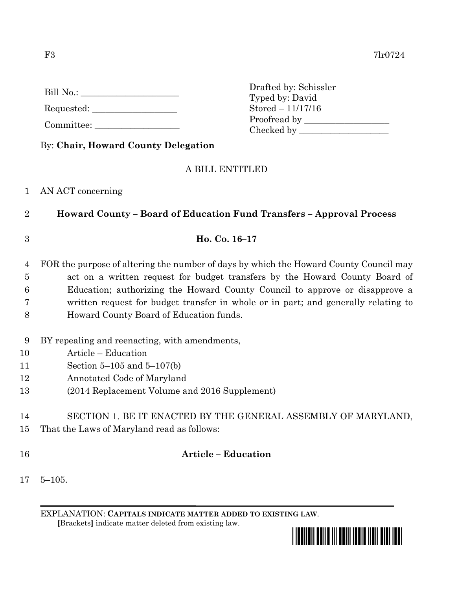| Bill No.: |  |  |  |
|-----------|--|--|--|
|-----------|--|--|--|

Requested: \_\_\_\_\_\_\_\_\_\_\_\_\_\_\_\_\_\_\_

Committee:

Drafted by: Schissler Typed by: David Stored – 11/17/16 Proofread by Checked by \_\_\_\_\_\_\_\_\_\_\_\_\_\_\_\_\_\_\_\_

By: **Chair, Howard County Delegation**

## A BILL ENTITLED

## 1 AN ACT concerning

2 **Howard County – Board of Education Fund Transfers – Approval Process**

#### 3 **Ho. Co. 16–17**

 FOR the purpose of altering the number of days by which the Howard County Council may act on a written request for budget transfers by the Howard County Board of Education; authorizing the Howard County Council to approve or disapprove a written request for budget transfer in whole or in part; and generally relating to Howard County Board of Education funds.

- 9 BY repealing and reenacting, with amendments,
- 10 Article Education
- 11 Section 5–105 and 5–107(b)
- 12 Annotated Code of Maryland
- 13 (2014 Replacement Volume and 2016 Supplement)

14 SECTION 1. BE IT ENACTED BY THE GENERAL ASSEMBLY OF MARYLAND, 15 That the Laws of Maryland read as follows:

## 16 **Article – Education**

17 5–105.

EXPLANATION: **CAPITALS INDICATE MATTER ADDED TO EXISTING LAW**.  **[**Brackets**]** indicate matter deleted from existing law.

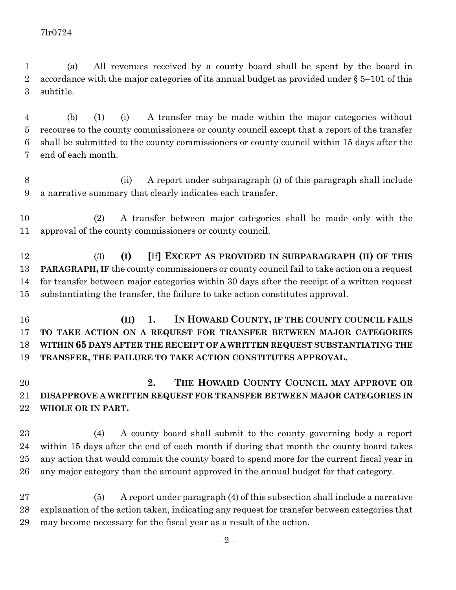(a) All revenues received by a county board shall be spent by the board in 2 accordance with the major categories of its annual budget as provided under  $\S 5-101$  of this subtitle.

 (b) (1) (i) A transfer may be made within the major categories without recourse to the county commissioners or county council except that a report of the transfer shall be submitted to the county commissioners or county council within 15 days after the end of each month.

 (ii) A report under subparagraph (i) of this paragraph shall include a narrative summary that clearly indicates each transfer.

 (2) A transfer between major categories shall be made only with the approval of the county commissioners or county council.

 (3) **(I) [**If**] EXCEPT AS PROVIDED IN SUBPARAGRAPH (II) OF THIS PARAGRAPH, IF** the county commissioners or county council fail to take action on a request for transfer between major categories within 30 days after the receipt of a written request substantiating the transfer, the failure to take action constitutes approval.

 **(II) 1. IN HOWARD COUNTY, IF THE COUNTY COUNCIL FAILS TO TAKE ACTION ON A REQUEST FOR TRANSFER BETWEEN MAJOR CATEGORIES WITHIN 65 DAYS AFTER THE RECEIPT OF A WRITTEN REQUEST SUBSTANTIATING THE TRANSFER, THE FAILURE TO TAKE ACTION CONSTITUTES APPROVAL.**

# **2. THE HOWARD COUNTY COUNCIL MAY APPROVE OR DISAPPROVE A WRITTEN REQUEST FOR TRANSFER BETWEEN MAJOR CATEGORIES IN WHOLE OR IN PART.**

 (4) A county board shall submit to the county governing body a report within 15 days after the end of each month if during that month the county board takes any action that would commit the county board to spend more for the current fiscal year in any major category than the amount approved in the annual budget for that category.

 (5) A report under paragraph (4) of this subsection shall include a narrative explanation of the action taken, indicating any request for transfer between categories that may become necessary for the fiscal year as a result of the action.

 $-2-$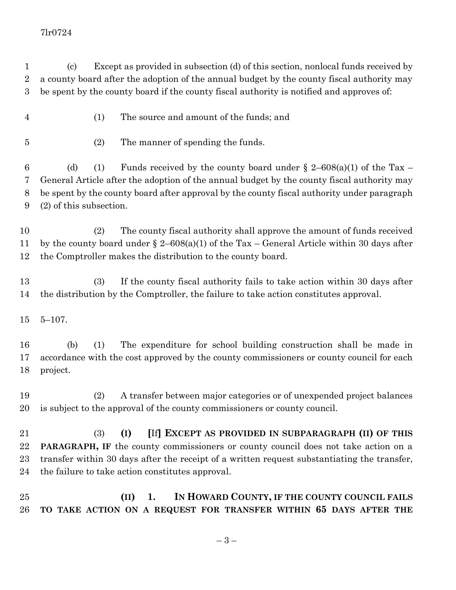#### 7lr0724

 (c) Except as provided in subsection (d) of this section, nonlocal funds received by a county board after the adoption of the annual budget by the county fiscal authority may be spent by the county board if the county fiscal authority is notified and approves of:

- (1) The source and amount of the funds; and
- (2) The manner of spending the funds.

6 (d) (1) Funds received by the county board under  $\S$  2–608(a)(1) of the Tax – General Article after the adoption of the annual budget by the county fiscal authority may be spent by the county board after approval by the county fiscal authority under paragraph (2) of this subsection.

 (2) The county fiscal authority shall approve the amount of funds received by the county board under § 2–608(a)(1) of the Tax – General Article within 30 days after the Comptroller makes the distribution to the county board.

 (3) If the county fiscal authority fails to take action within 30 days after the distribution by the Comptroller, the failure to take action constitutes approval.

5–107.

 (b) (1) The expenditure for school building construction shall be made in accordance with the cost approved by the county commissioners or county council for each project.

 (2) A transfer between major categories or of unexpended project balances is subject to the approval of the county commissioners or county council.

 (3) **(I) [**If**] EXCEPT AS PROVIDED IN SUBPARAGRAPH (II) OF THIS PARAGRAPH, IF** the county commissioners or county council does not take action on a transfer within 30 days after the receipt of a written request substantiating the transfer, the failure to take action constitutes approval.

 **(II) 1. IN HOWARD COUNTY, IF THE COUNTY COUNCIL FAILS TO TAKE ACTION ON A REQUEST FOR TRANSFER WITHIN 65 DAYS AFTER THE**